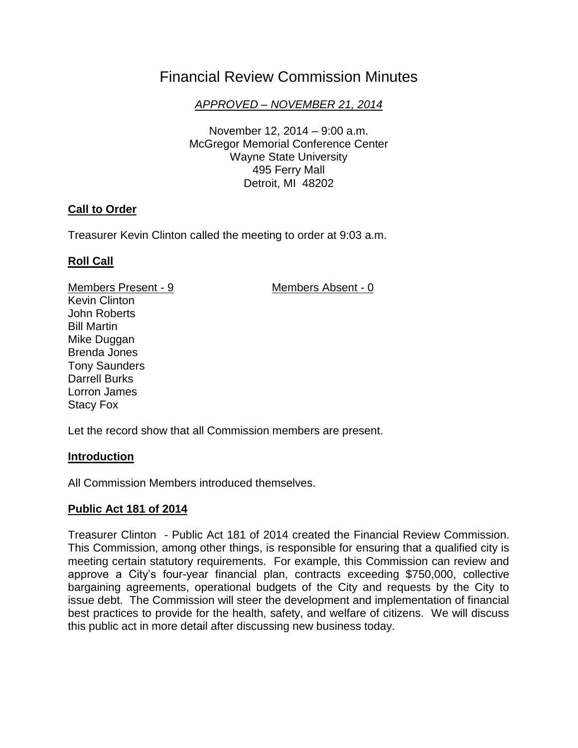# Financial Review Commission Minutes

*APPROVED – NOVEMBER 21, 2014*

November 12, 2014 – 9:00 a.m. McGregor Memorial Conference Center Wayne State University 495 Ferry Mall Detroit, MI 48202

## **Call to Order**

Treasurer Kevin Clinton called the meeting to order at 9:03 a.m.

## **Roll Call**

Members Present - 9 Members Absent - 0

Kevin Clinton John Roberts Bill Martin Mike Duggan Brenda Jones Tony Saunders Darrell Burks Lorron James Stacy Fox

Let the record show that all Commission members are present.

## **Introduction**

All Commission Members introduced themselves.

## **Public Act 181 of 2014**

Treasurer Clinton - Public Act 181 of 2014 created the Financial Review Commission. This Commission, among other things, is responsible for ensuring that a qualified city is meeting certain statutory requirements. For example, this Commission can review and approve a City's four-year financial plan, contracts exceeding \$750,000, collective bargaining agreements, operational budgets of the City and requests by the City to issue debt. The Commission will steer the development and implementation of financial best practices to provide for the health, safety, and welfare of citizens. We will discuss this public act in more detail after discussing new business today.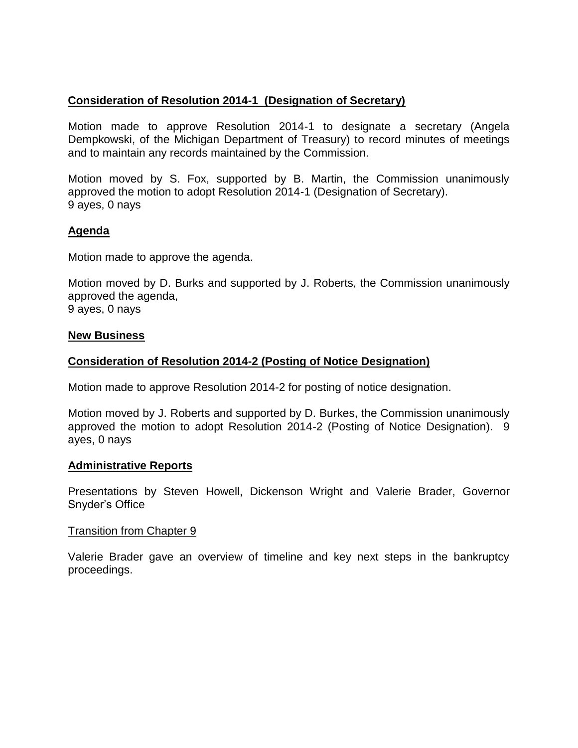## **Consideration of Resolution 2014-1 (Designation of Secretary)**

Motion made to approve Resolution 2014-1 to designate a secretary (Angela Dempkowski, of the Michigan Department of Treasury) to record minutes of meetings and to maintain any records maintained by the Commission.

Motion moved by S. Fox, supported by B. Martin, the Commission unanimously approved the motion to adopt Resolution 2014-1 (Designation of Secretary). 9 ayes, 0 nays

#### **Agenda**

Motion made to approve the agenda.

Motion moved by D. Burks and supported by J. Roberts, the Commission unanimously approved the agenda, 9 ayes, 0 nays

#### **New Business**

#### **Consideration of Resolution 2014-2 (Posting of Notice Designation)**

Motion made to approve Resolution 2014-2 for posting of notice designation.

Motion moved by J. Roberts and supported by D. Burkes, the Commission unanimously approved the motion to adopt Resolution 2014-2 (Posting of Notice Designation). 9 ayes, 0 nays

#### **Administrative Reports**

Presentations by Steven Howell, Dickenson Wright and Valerie Brader, Governor Snyder's Office

#### Transition from Chapter 9

Valerie Brader gave an overview of timeline and key next steps in the bankruptcy proceedings.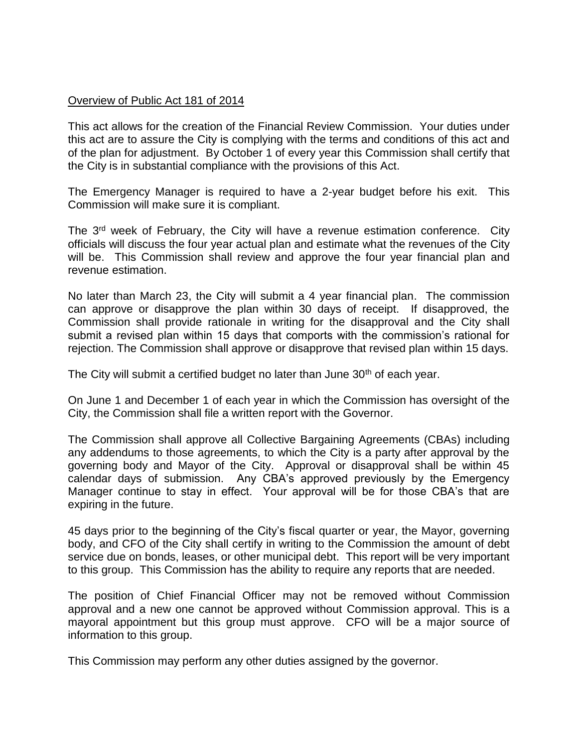## Overview of Public Act 181 of 2014

This act allows for the creation of the Financial Review Commission. Your duties under this act are to assure the City is complying with the terms and conditions of this act and of the plan for adjustment. By October 1 of every year this Commission shall certify that the City is in substantial compliance with the provisions of this Act.

The Emergency Manager is required to have a 2-year budget before his exit. This Commission will make sure it is compliant.

The 3<sup>rd</sup> week of February, the City will have a revenue estimation conference. City officials will discuss the four year actual plan and estimate what the revenues of the City will be. This Commission shall review and approve the four year financial plan and revenue estimation.

No later than March 23, the City will submit a 4 year financial plan. The commission can approve or disapprove the plan within 30 days of receipt. If disapproved, the Commission shall provide rationale in writing for the disapproval and the City shall submit a revised plan within 15 days that comports with the commission's rational for rejection. The Commission shall approve or disapprove that revised plan within 15 days.

The City will submit a certified budget no later than June 30<sup>th</sup> of each year.

On June 1 and December 1 of each year in which the Commission has oversight of the City, the Commission shall file a written report with the Governor.

The Commission shall approve all Collective Bargaining Agreements (CBAs) including any addendums to those agreements, to which the City is a party after approval by the governing body and Mayor of the City. Approval or disapproval shall be within 45 calendar days of submission. Any CBA's approved previously by the Emergency Manager continue to stay in effect. Your approval will be for those CBA's that are expiring in the future.

45 days prior to the beginning of the City's fiscal quarter or year, the Mayor, governing body, and CFO of the City shall certify in writing to the Commission the amount of debt service due on bonds, leases, or other municipal debt. This report will be very important to this group. This Commission has the ability to require any reports that are needed.

The position of Chief Financial Officer may not be removed without Commission approval and a new one cannot be approved without Commission approval. This is a mayoral appointment but this group must approve. CFO will be a major source of information to this group.

This Commission may perform any other duties assigned by the governor.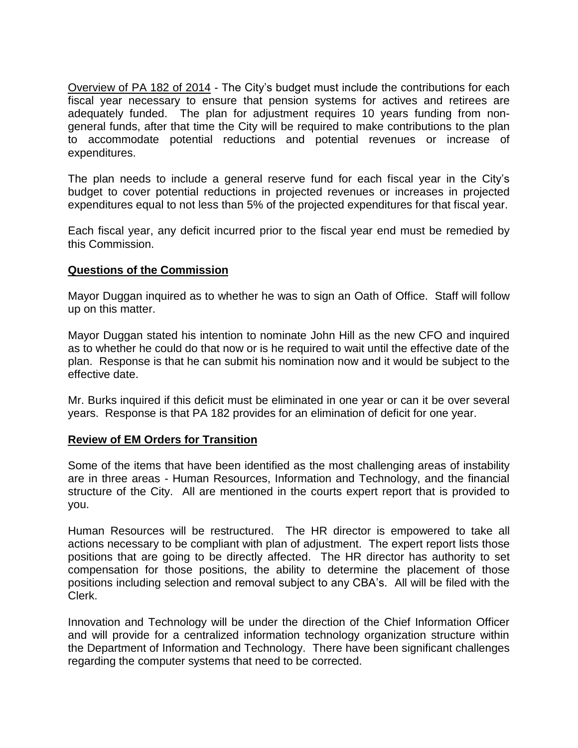Overview of PA 182 of 2014 - The City's budget must include the contributions for each fiscal year necessary to ensure that pension systems for actives and retirees are adequately funded. The plan for adjustment requires 10 years funding from nongeneral funds, after that time the City will be required to make contributions to the plan to accommodate potential reductions and potential revenues or increase of expenditures.

The plan needs to include a general reserve fund for each fiscal year in the City's budget to cover potential reductions in projected revenues or increases in projected expenditures equal to not less than 5% of the projected expenditures for that fiscal year.

Each fiscal year, any deficit incurred prior to the fiscal year end must be remedied by this Commission.

## **Questions of the Commission**

Mayor Duggan inquired as to whether he was to sign an Oath of Office. Staff will follow up on this matter.

Mayor Duggan stated his intention to nominate John Hill as the new CFO and inquired as to whether he could do that now or is he required to wait until the effective date of the plan. Response is that he can submit his nomination now and it would be subject to the effective date.

Mr. Burks inquired if this deficit must be eliminated in one year or can it be over several years. Response is that PA 182 provides for an elimination of deficit for one year.

## **Review of EM Orders for Transition**

Some of the items that have been identified as the most challenging areas of instability are in three areas - Human Resources, Information and Technology, and the financial structure of the City. All are mentioned in the courts expert report that is provided to you.

Human Resources will be restructured. The HR director is empowered to take all actions necessary to be compliant with plan of adjustment. The expert report lists those positions that are going to be directly affected. The HR director has authority to set compensation for those positions, the ability to determine the placement of those positions including selection and removal subject to any CBA's. All will be filed with the Clerk.

Innovation and Technology will be under the direction of the Chief Information Officer and will provide for a centralized information technology organization structure within the Department of Information and Technology. There have been significant challenges regarding the computer systems that need to be corrected.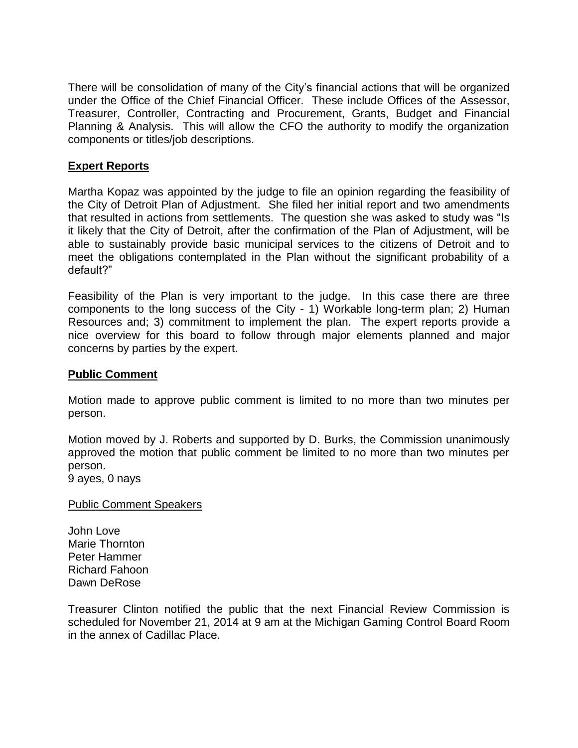There will be consolidation of many of the City's financial actions that will be organized under the Office of the Chief Financial Officer. These include Offices of the Assessor, Treasurer, Controller, Contracting and Procurement, Grants, Budget and Financial Planning & Analysis. This will allow the CFO the authority to modify the organization components or titles/job descriptions.

### **Expert Reports**

Martha Kopaz was appointed by the judge to file an opinion regarding the feasibility of the City of Detroit Plan of Adjustment. She filed her initial report and two amendments that resulted in actions from settlements. The question she was asked to study was "Is it likely that the City of Detroit, after the confirmation of the Plan of Adjustment, will be able to sustainably provide basic municipal services to the citizens of Detroit and to meet the obligations contemplated in the Plan without the significant probability of a default?"

Feasibility of the Plan is very important to the judge. In this case there are three components to the long success of the City - 1) Workable long-term plan; 2) Human Resources and; 3) commitment to implement the plan. The expert reports provide a nice overview for this board to follow through major elements planned and major concerns by parties by the expert.

#### **Public Comment**

Motion made to approve public comment is limited to no more than two minutes per person.

Motion moved by J. Roberts and supported by D. Burks, the Commission unanimously approved the motion that public comment be limited to no more than two minutes per person.

9 ayes, 0 nays

Public Comment Speakers

John Love Marie Thornton Peter Hammer Richard Fahoon Dawn DeRose

Treasurer Clinton notified the public that the next Financial Review Commission is scheduled for November 21, 2014 at 9 am at the Michigan Gaming Control Board Room in the annex of Cadillac Place.